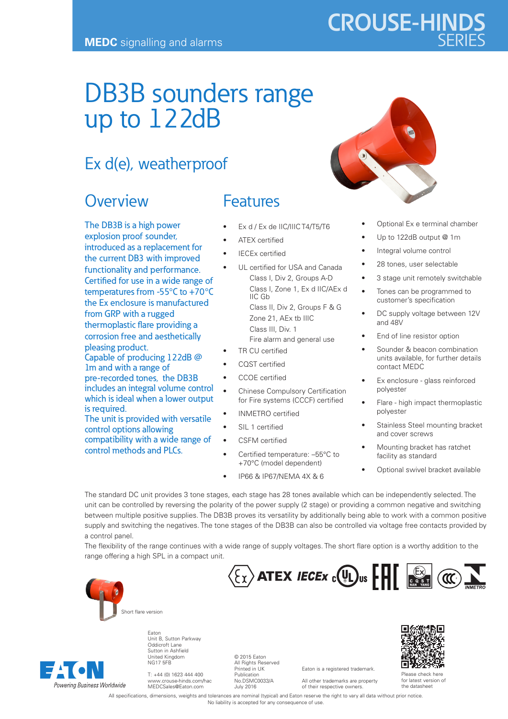# DB3B sounders range up to 122dB

## Ex d(e), weatherproof

### **Overview**

The DB3B is a high power explosion proof sounder, introduced as a replacement for the current DB3 with improved functionality and performance. Certified for use in a wide range of temperatures from -55°C to +70°C the Ex enclosure is manufactured from GRP with a rugged thermoplastic flare providing a corrosion free and aesthetically pleasing product.

Capable of producing 122dB @ 1m and with a range of pre-recorded tones, the DB3B includes an integral volume control which is ideal when a lower output is required. The unit is provided with versatile

control options allowing compatibility with a wide range of control methods and PLCs.

### **Features**

- Ex d / Ex de IIC/IIIC T4/T5/T6
- ATEX certified
- **IECEx certified**
- UL certified for USA and Canada Class I, Div 2, Groups A-D Class I, Zone 1, Ex d IIC/AEx d IIC Gb Class II, Div 2, Groups F & G Zone 21, AEx tb IIIC Class III, Div. 1 Fire alarm and general use
- TR CU certified
- CQST certified
- CCOE certified
- Chinese Compulsory Certification for Fire systems (CCCF) certified
- INMETRO certified
- SIL 1 certified
- CSFM certified
- Certified temperature: –55°C to +70°C (model dependent)
- IP66 & IP67/NEMA 4X & 6



**CROUSE-HINDS**

- Optional Ex e terminal chamber
- Up to 122dB output @ 1m
- Integral volume control
- 28 tones, user selectable
- 3 stage unit remotely switchable
- Tones can be programmed to customer's specification
- DC supply voltage between 12V and 48V
- End of line resistor option
- Sounder & beacon combination units available, for further details contact MEDC
- Ex enclosure glass reinforced polyester
- Flare high impact thermoplastic polyester
- Stainless Steel mounting bracket and cover screws
- Mounting bracket has ratchet facility as standard
- Optional swivel bracket available

The standard DC unit provides 3 tone stages, each stage has 28 tones available which can be independently selected. The unit can be controlled by reversing the polarity of the power supply (2 stage) or providing a common negative and switching between multiple positive supplies. The DB3B proves its versatility by additionally being able to work with a common positive supply and switching the negatives. The tone stages of the DB3B can also be controlled via voltage free contacts provided by a control panel.

The flexibility of the range continues with a wide range of supply voltages. The short flare option is a worthy addition to the range offering a high SPL in a compact unit.



Powering Business Worldwide

Eaton Unit B, Sutton Parkway Oddicroft Lane Sutton in Ashfield United Kingdom NG17 5FB

T: +44 (0) 1623 444 400 www.crouse-hinds.com/hac MEDCSales@Eaton.com

© 2015 Eaton All Rights Reserved Printed in UK Publication No.DSMC0033/A July 2016

Eaton is a registered trademark. All other trademarks are property of their respective owners.

 $\overline{\mathcal{E}_X}$  ATEX *IECEx*  $_c$ <sup>(U</sup>L)<sub>us</sub>  $\left[\prod_{s,s,t}$  (IC)



Please check here for latest version of the datasheet

All specifications, dimensions, weights and tolerances are nominal (typical) and Eaton reserve the right to vary all data without prior notice. No liability is accepted for any consequence of use.